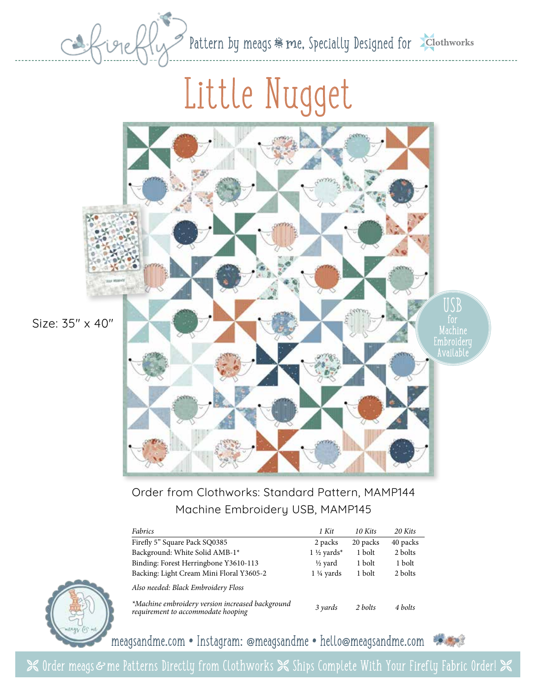Pattern by meags & me, Specially Designed for

## Little Nugget



Order from Clothworks: Standard Pattern, MAMP144 Machine Embroidery USB, MAMP145

| Fabrics                                                                                | 1 Kit                  | 10 Kits  | 20 Kits  |
|----------------------------------------------------------------------------------------|------------------------|----------|----------|
| Firefly 5" Square Pack SQ0385                                                          | 2 packs                | 20 packs | 40 packs |
| Background: White Solid AMB-1*                                                         | 1 $\frac{1}{2}$ yards* | 1 bolt   | 2 bolts  |
| Binding: Forest Herringbone Y3610-113                                                  | ½ vard                 | 1 bolt   | 1 bolt   |
| Backing: Light Cream Mini Floral Y3605-2                                               | $1\frac{1}{4}$ yards   | 1 bolt   | 2 bolts  |
| Also needed: Black Embroidery Floss                                                    |                        |          |          |
| *Machine embroidery version increased background<br>requirement to accommodate hooping | 3 yards                | 2 bolts  | 4 bolts  |



meagsandme.com **•** Instagram: @meagsandme **•** hello@meagsandme.com

**X** Order meags & me Patterns Directly from Clothworks  $\mathbb X$  Ships Complete With Your Firefly Fabric Order!  $\mathbb X$